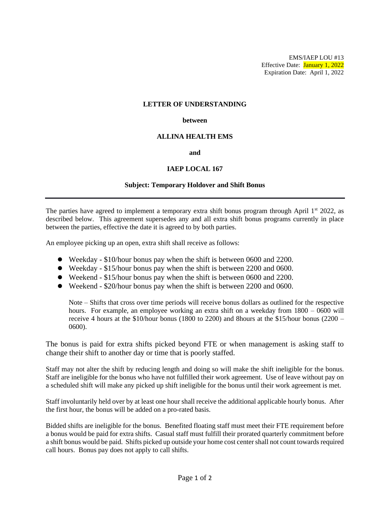EMS/IAEP LOU #13 Effective Date: January 1, 2022 Expiration Date: April 1, 2022

#### **LETTER OF UNDERSTANDING**

#### **between**

# **ALLINA HEALTH EMS**

**and**

# **IAEP LOCAL 167**

### **Subject: Temporary Holdover and Shift Bonus**

The parties have agreed to implement a temporary extra shift bonus program through April  $1<sup>st</sup>$  2022, as described below. This agreement supersedes any and all extra shift bonus programs currently in place between the parties, effective the date it is agreed to by both parties.

An employee picking up an open, extra shift shall receive as follows:

- ⚫ Weekday \$10/hour bonus pay when the shift is between 0600 and 2200.
- ⚫ Weekday \$15/hour bonus pay when the shift is between 2200 and 0600.
- ⚫ Weekend \$15/hour bonus pay when the shift is between 0600 and 2200.
- ⚫ Weekend \$20/hour bonus pay when the shift is between 2200 and 0600.

Note – Shifts that cross over time periods will receive bonus dollars as outlined for the respective hours. For example, an employee working an extra shift on a weekday from 1800 – 0600 will receive 4 hours at the \$10/hour bonus (1800 to 2200) and 8hours at the \$15/hour bonus (2200 – 0600).

The bonus is paid for extra shifts picked beyond FTE or when management is asking staff to change their shift to another day or time that is poorly staffed.

Staff may not alter the shift by reducing length and doing so will make the shift ineligible for the bonus. Staff are ineligible for the bonus who have not fulfilled their work agreement. Use of leave without pay on a scheduled shift will make any picked up shift ineligible for the bonus until their work agreement is met.

Staff involuntarily held over by at least one hour shall receive the additional applicable hourly bonus. After the first hour, the bonus will be added on a pro-rated basis.

Bidded shifts are ineligible for the bonus. Benefited floating staff must meet their FTE requirement before a bonus would be paid for extra shifts. Casual staff must fulfill their prorated quarterly commitment before a shift bonus would be paid. Shifts picked up outside your home cost center shall not count towards required call hours. Bonus pay does not apply to call shifts.